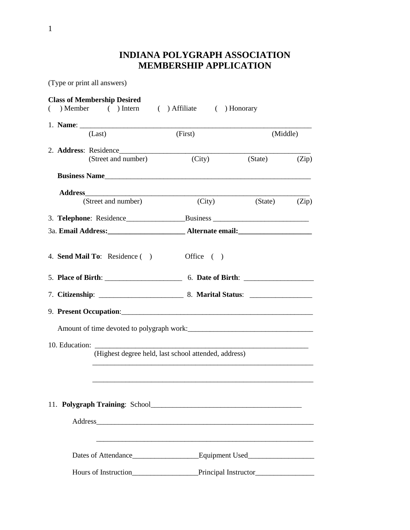## **INDIANA POLYGRAPH ASSOCIATION MEMBERSHIP APPLICATION**

(Type or print all answers)

| <b>Class of Membership Desired</b>               |                                                                                                                       |                      |          |  |  |  |  |
|--------------------------------------------------|-----------------------------------------------------------------------------------------------------------------------|----------------------|----------|--|--|--|--|
| ( ) Member ( ) Intern ( ) Affiliate ( ) Honorary |                                                                                                                       |                      |          |  |  |  |  |
|                                                  |                                                                                                                       |                      |          |  |  |  |  |
| (Last)                                           | (First)                                                                                                               |                      | (Middle) |  |  |  |  |
| 2. Address: Residence                            |                                                                                                                       |                      |          |  |  |  |  |
| (Street and number)                              | (City)                                                                                                                | $(State)$ $(Zip)$    |          |  |  |  |  |
| Business Name                                    |                                                                                                                       |                      |          |  |  |  |  |
|                                                  |                                                                                                                       |                      |          |  |  |  |  |
| (Street and number)                              | (City)                                                                                                                | (State)              | (Zip)    |  |  |  |  |
|                                                  |                                                                                                                       |                      |          |  |  |  |  |
|                                                  |                                                                                                                       |                      |          |  |  |  |  |
| 4. Send Mail To: Residence ()                    | Office $( )$                                                                                                          |                      |          |  |  |  |  |
|                                                  |                                                                                                                       |                      |          |  |  |  |  |
|                                                  |                                                                                                                       |                      |          |  |  |  |  |
|                                                  |                                                                                                                       |                      |          |  |  |  |  |
|                                                  |                                                                                                                       |                      |          |  |  |  |  |
|                                                  |                                                                                                                       |                      |          |  |  |  |  |
|                                                  | (Highest degree held, last school attended, address)                                                                  |                      |          |  |  |  |  |
|                                                  |                                                                                                                       |                      |          |  |  |  |  |
|                                                  |                                                                                                                       |                      |          |  |  |  |  |
|                                                  |                                                                                                                       |                      |          |  |  |  |  |
|                                                  |                                                                                                                       |                      |          |  |  |  |  |
|                                                  |                                                                                                                       |                      |          |  |  |  |  |
|                                                  | <u> 1980 - Johann Barn, mars ann an t-Amhain ann an t-Amhain ann an t-Amhain ann an t-Amhain an t-Amhain an t-Amh</u> |                      |          |  |  |  |  |
|                                                  |                                                                                                                       |                      |          |  |  |  |  |
| Hours of Instruction                             |                                                                                                                       | Principal Instructor |          |  |  |  |  |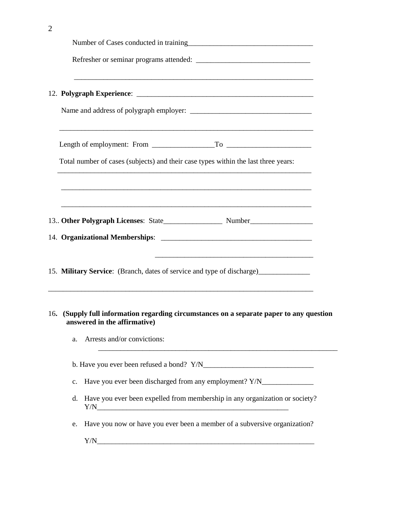|  |    | Total number of cases (subjects) and their case types within the last three years:                                                                                                                                                                                                                                                   |  |  |  |  |  |
|--|----|--------------------------------------------------------------------------------------------------------------------------------------------------------------------------------------------------------------------------------------------------------------------------------------------------------------------------------------|--|--|--|--|--|
|  |    |                                                                                                                                                                                                                                                                                                                                      |  |  |  |  |  |
|  |    |                                                                                                                                                                                                                                                                                                                                      |  |  |  |  |  |
|  |    |                                                                                                                                                                                                                                                                                                                                      |  |  |  |  |  |
|  |    | 15. Military Service: (Branch, dates of service and type of discharge)___________<br>,我们也不能在这里的人,我们也不能在这里的人,我们也不能在这里的人,我们也不能在这里的人,我们也不能在这里的人,我们也不能在这里的人,我们也不能在这里的人,我们                                                                                                                                                                |  |  |  |  |  |
|  |    | 16. (Supply full information regarding circumstances on a separate paper to any question<br>answered in the affirmative)                                                                                                                                                                                                             |  |  |  |  |  |
|  | a. | Arrests and/or convictions:                                                                                                                                                                                                                                                                                                          |  |  |  |  |  |
|  |    |                                                                                                                                                                                                                                                                                                                                      |  |  |  |  |  |
|  | c. | Have you ever been discharged from any employment? Y/N___________________________                                                                                                                                                                                                                                                    |  |  |  |  |  |
|  | d. | Have you ever been expelled from membership in any organization or society?<br>$Y/N$ and $Y/N$ and $Y/N$ and $Y/N$ and $Y/N$ and $Y/N$ and $Y/N$ and $Y/N$ and $Y/N$ and $Y/N$ and $Y/N$ and $Y/N$ and $Y/N$ and $Y/N$ and $Y/N$ and $Y/N$ and $Y/N$ and $Y/N$ and $Y/N$ and $Y/N$ and $Y/N$ and $Y/N$ and $Y/N$ and $Y/N$ and $Y/N$ |  |  |  |  |  |
|  | e. | Have you now or have you ever been a member of a subversive organization?                                                                                                                                                                                                                                                            |  |  |  |  |  |
|  |    |                                                                                                                                                                                                                                                                                                                                      |  |  |  |  |  |

2